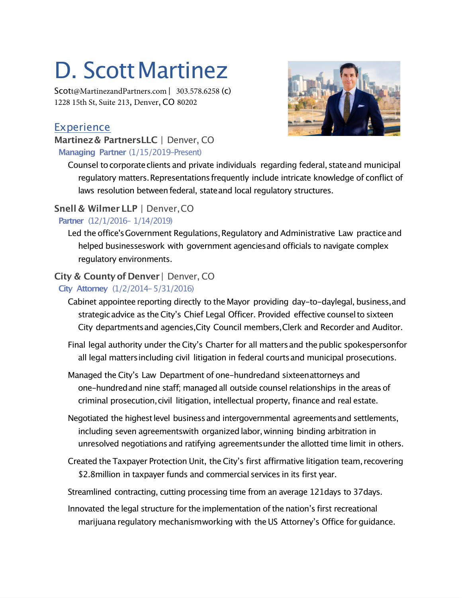# D. Scott Martinez

Scott@MartinezandPartners.com| 303.578.6258 (c) 1228 15th St, Suite 213, Denver,CO 80202



## Experience

#### **Martinez& PartnersLLC** | Denver, CO **Managing Partner** (1/15/2019–Present)

Counsel tocorporateclients and private individuals regarding federal, stateand municipal regulatory matters.Representationsfrequently include intricate knowledge of conflict of laws resolution between federal, state and local regulatory structures.

## **Snell & Wilmer LLP** | Denver,CO

#### **Partner** (12/1/2016– 1/14/2019)

Led the office's Government Regulations, Regulatory and Administrative Law practice and helped businesseswork with government agenciesand officials to navigate complex regulatory environments.

# **City & Countyof Denver**| Denver, CO

#### **City Attorney** (1/2/2014–5/31/2016)

- Cabinet appointee reporting directly to the Mayor providing day-to-daylegal, business,and strategicadvice as theCity's Chief Legal Officer. Provided effective counselto sixteen City departmentsand agencies,City Council members,Clerk and Recorder and Auditor.
- Final legal authority under the City's Charter for all matters and the public spokespersonfor all legal mattersincluding civil litigation in federal courtsand municipal prosecutions.
- Managed the City's Law Department of one-hundredand sixteenattorneys and one-hundredand nine staff; managedall outside counsel relationships in the areas of criminal prosecution,civil litigation, intellectual property, finance and real estate.
- Negotiated the highest level business and intergovernmental agreements and settlements, including seven agreementswith organizedlabor, winning binding arbitration in unresolved negotiations and ratifying agreementsunder the allotted time limit in others.
- Created theTaxpayer Protection Unit, theCity's first affirmative litigation team, recovering \$2.8million in taxpayer funds and commercial services in its first year.

Streamlined contracting, cutting processing time from an average 121days to 37days.

Innovated the legal structure for the implementation of the nation's first recreational marijuana regulatory mechanismworking with theUS Attorney's Office for guidance.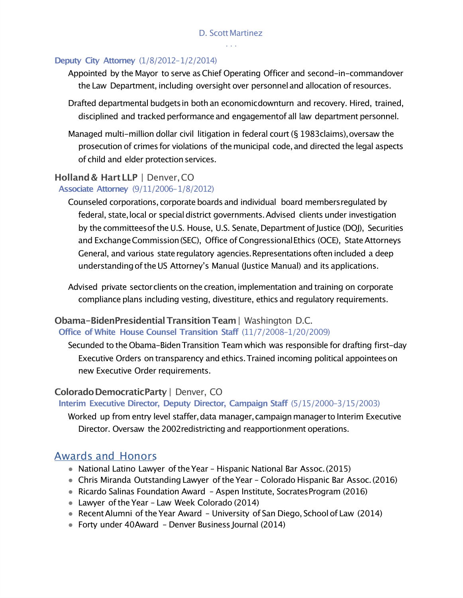#### **Deputy City Attorney** (1/8/2012–1/2/2014)

- Appointed by the Mayor to serve asChief Operating Officer and second-in-commandover the Law Department, including oversight over personneland allocation of resources.
- Drafted departmental budgets in both an economicdownturn and recovery. Hired, trained, disciplined and tracked performance and engagementof all law department personnel.
- Managed multi-million dollar civil litigation in federal court (§ 1983claims), oversaw the prosecution of crimes for violations of themunicipal code,and directed the legal aspects of child and elder protection services.

#### **Holland& HartLLP** | Denver,CO

#### **Associate Attorney** (9/11/2006–1/8/2012)

Counseled corporations, corporate boards and individual board members regulated by federal, state, local or special district governments. Advised clients under investigation by the committees of the U.S. House, U.S. Senate, Department of Justice (DOJ), Securities and Exchange Commission (SEC), Office of Congressional Ethics (OCE), State Attorneys General, and various state regulatory agencies. Representations often included a deep understandingoftheUS Attorney's Manual (Justice Manual) and its applications.

Advised private sectorclients on the creation,implementation and training on corporate compliance plans including vesting, divestiture, ethics and regulatory requirements.

#### **Obama-BidenPresidentialTransitionTeam**| Washington D.C. **Office of White House Counsel Transition Staff** (11/7/2008–1/20/2009)

Secunded to the Obama-BidenTransition Team which was responsible for drafting first-day Executive Orders on transparency and ethics.Trained incoming political appointeeson new Executive Order requirements.

#### **Colorado DemocraticParty** | Denver, CO

#### **Interim Executive Director, Deputy Director, Campaign Staff** (5/15/2000–3/15/2003)

Worked up from entry level staffer, data manager, campaign manager to Interim Executive Director. Oversaw the 2002redistricting and reapportionment operations.

#### Awards and Honors

- National Latino Lawyer of the Year Hispanic National Bar Assoc. (2015)
- Chris Miranda Outstanding Lawyer oftheYear Colorado Hispanic Bar Assoc.(2016)
- Ricardo Salinas Foundation Award Aspen Institute, Socrates Program (2016)
- Lawyer of the Year Law Week Colorado (2014)
- Recent Alumni of the Year Award University of San Diego, School of Law (2014)
- Forty under 40Award Denver Business Journal (2014)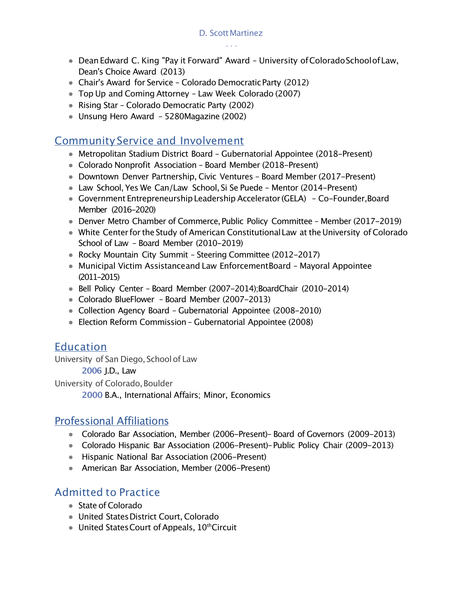- Dean Edward C. King "Pay it Forward" Award University of Colorado School of Law, Dean's Choice Award (2013)
- Chair's Award for Service Colorado Democratic Party (2012)
- Top Up and Coming Attorney Law Week Colorado (2007)
- Rising Star Colorado Democratic Party (2002)
- Unsung Hero Award 5280Magazine (2002)

### Community Service and Involvement

- Metropolitan Stadium District Board Gubernatorial Appointee (2018-Present)
- Colorado Nonprofit Association Board Member (2018–Present)
- Downtown Denver Partnership, Civic Ventures Board Member (2017-Present)
- Law School, Yes We Can/Law School, Si Se Puede Mentor (2014-Present)
- Government Entrepreneurship Leadership Accelerator (GELA) Co-Founder, Board Member (2016-2020)
- Denver Metro Chamber of Commerce, Public Policy Committee Member (2017-2019)
- White Center for the Study of American Constitutional Law at the University of Colorado School of Law – Board Member (2010-2019)
- Rocky Mountain City Summit Steering Committee (2012-2017)
- Municipal Victim Assistanceand Law EnforcementBoard Mayoral Appointee (2011-2015)
- Bell Policy Center Board Member (2007-2014);BoardChair (2010-2014)
- Colorado BlueFlower Board Member (2007–2013)
- Collection Agency Board Gubernatorial Appointee (2008-2010)
- Election Reform Commission Gubernatorial Appointee (2008)

## Education

University of San Diego, Schoolof Law

**2006** J.D., Law

University of Colorado, Boulder

**2000** B.A., International Affairs; Minor, Economics

# Professional Affiliations

- Colorado Bar Association, Member (2006–Present)– Board of Governors (2009–2013)
- Colorado Hispanic Bar Association (2006–Present)–Public Policy Chair (2009–2013)
- Hispanic National Bar Association (2006-Present)
- American Bar Association, Member (2006–Present)

# Admitted to Practice

- State of Colorado
- United States District Court, Colorado
- United States Court of Appeals,  $10^{th}$ Circuit